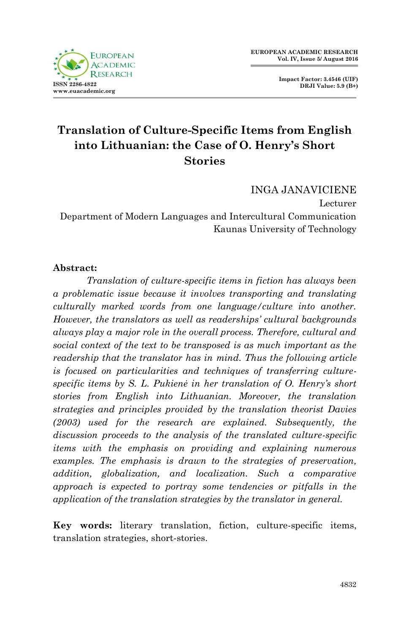

**Impact Factor: 3.4546 (UIF) DRJI Value: 5.9 (B+)**

# **Translation of Culture-Specific Items from English into Lithuanian: the Case of O. Henry's Short Stories**

INGA JANAVICIENE Lecturer Department of Modern Languages and Intercultural Communication Kaunas University of Technology

#### **Abstract:**

 *Translation of culture-specific items in fiction has always been a problematic issue because it involves transporting and translating culturally marked words from one language/culture into another. However, the translators as well as readerships' cultural backgrounds always play a major role in the overall process. Therefore, cultural and social context of the text to be transposed is as much important as the readership that the translator has in mind. Thus the following article is focused on particularities and techniques of transferring culturespecific items by S. L. Pukienė in her translation of O. Henry's short stories from English into Lithuanian. Moreover, the translation strategies and principles provided by the translation theorist Davies (2003) used for the research are explained. Subsequently, the discussion proceeds to the analysis of the translated culture-specific items with the emphasis on providing and explaining numerous examples. The emphasis is drawn to the strategies of preservation, addition, globalization, and localization. Such a comparative approach is expected to portray some tendencies or pitfalls in the application of the translation strategies by the translator in general.* 

**Key words:** literary translation, fiction, culture-specific items, translation strategies, short-stories.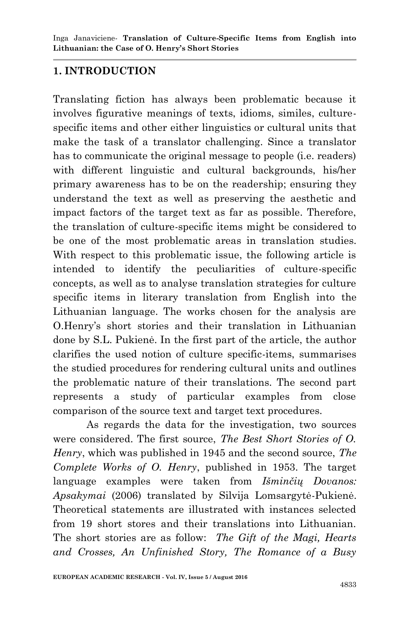#### **1. INTRODUCTION**

Translating fiction has always been problematic because it involves figurative meanings of texts, idioms, similes, culturespecific items and other either linguistics or cultural units that make the task of a translator challenging. Since a translator has to communicate the original message to people (i.e. readers) with different linguistic and cultural backgrounds, his/her primary awareness has to be on the readership; ensuring they understand the text as well as preserving the aesthetic and impact factors of the target text as far as possible. Therefore, the translation of culture-specific items might be considered to be one of the most problematic areas in translation studies. With respect to this problematic issue, the following article is intended to identify the peculiarities of culture-specific concepts, as well as to analyse translation strategies for culture specific items in literary translation from English into the Lithuanian language. The works chosen for the analysis are O.Henry"s short stories and their translation in Lithuanian done by S.L. Pukienė. In the first part of the article, the author clarifies the used notion of culture specific-items, summarises the studied procedures for rendering cultural units and outlines the problematic nature of their translations. The second part represents a study of particular examples from close comparison of the source text and target text procedures.

 As regards the data for the investigation, two sources were considered. The first source, *The Best Short Stories of O. Henry*, which was published in 1945 and the second source, *The Complete Works of O. Henry*, published in 1953. The target language examples were taken from *Išminčių Dovanos: Apsakymai* (2006) translated by Silvija Lomsargytė-Pukienė. Theoretical statements are illustrated with instances selected from 19 short stores and their translations into Lithuanian. The short stories are as follow: *The Gift of the Magi, Hearts and Crosses, An Unfinished Story, The Romance of a Busy*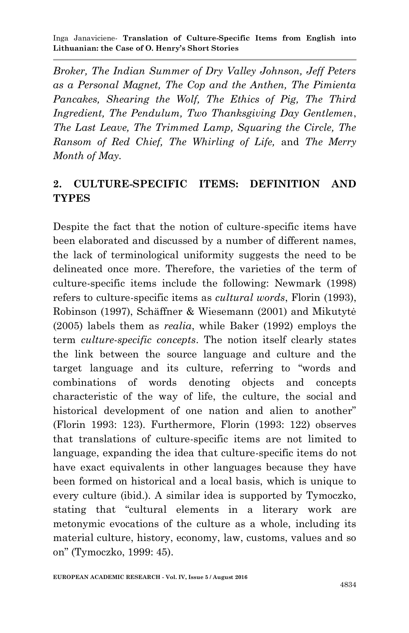*Broker, The Indian Summer of Dry Valley Johnson, Jeff Peters as a Personal Magnet, The Cop and the Anthen, The Pimienta Pancakes, Shearing the Wolf, The Ethics of Pig, The Third Ingredient, The Pendulum, Two Thanksgiving Day Gentlemen*, *The Last Leave, The Trimmed Lamp, Squaring the Circle, The Ransom of Red Chief, The Whirling of Life,* and *The Merry Month of May.*

### **2. CULTURE-SPECIFIC ITEMS: DEFINITION AND TYPES**

Despite the fact that the notion of culture-specific items have been elaborated and discussed by a number of different names, the lack of terminological uniformity suggests the need to be delineated once more. Therefore, the varieties of the term of culture-specific items include the following: Newmark (1998) refers to culture-specific items as *cultural words*, Florin (1993), Robinson (1997), Schäffner & Wiesemann (2001) and Mikutytė (2005) labels them as *realia*, while Baker (1992) employs the term *culture-specific concepts*. The notion itself clearly states the link between the source language and culture and the target language and its culture, referring to "words and combinations of words denoting objects and concepts characteristic of the way of life, the culture, the social and historical development of one nation and alien to another" (Florin 1993: 123). Furthermore, Florin (1993: 122) observes that translations of culture-specific items are not limited to language, expanding the idea that culture-specific items do not have exact equivalents in other languages because they have been formed on historical and a local basis, which is unique to every culture (ibid.). A similar idea is supported by Tymoczko, stating that "cultural elements in a literary work are metonymic evocations of the culture as a whole, including its material culture, history, economy, law, customs, values and so on" (Tymoczko, 1999: 45).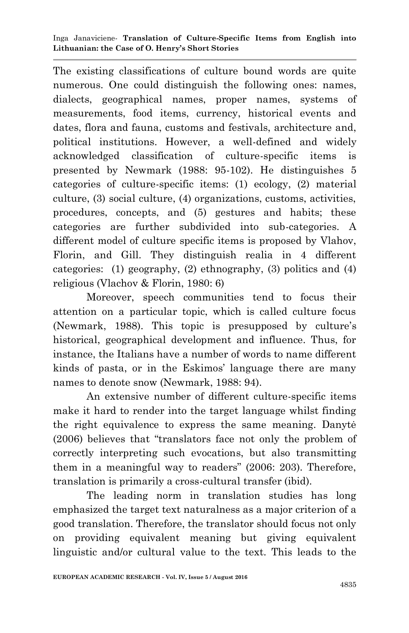The existing classifications of culture bound words are quite numerous. One could distinguish the following ones: names, dialects, geographical names, proper names, systems of measurements, food items, currency, historical events and dates, flora and fauna, customs and festivals, architecture and, political institutions. However, a well-defined and widely acknowledged classification of culture-specific items is presented by Newmark (1988: 95-102). He distinguishes 5 categories of culture-specific items: (1) ecology, (2) material culture, (3) social culture, (4) organizations, customs, activities, procedures, concepts, and (5) gestures and habits; these categories are further subdivided into sub-categories. A different model of culture specific items is proposed by Vlahov, Florin, and Gill. They distinguish realia in 4 different categories: (1) geography, (2) ethnography, (3) politics and (4) religious (Vlachov & Florin, 1980: 6)

 Moreover, speech communities tend to focus their attention on a particular topic, which is called culture focus (Newmark, 1988). This topic is presupposed by culture"s historical, geographical development and influence. Thus, for instance, the Italians have a number of words to name different kinds of pasta, or in the Eskimos' language there are many names to denote snow (Newmark, 1988: 94).

 An extensive number of different culture-specific items make it hard to render into the target language whilst finding the right equivalence to express the same meaning. Danytė (2006) believes that "translators face not only the problem of correctly interpreting such evocations, but also transmitting them in a meaningful way to readers" (2006: 203). Therefore, translation is primarily a cross-cultural transfer (ibid).

 The leading norm in translation studies has long emphasized the target text naturalness as a major criterion of a good translation. Therefore, the translator should focus not only on providing equivalent meaning but giving equivalent linguistic and/or cultural value to the text. This leads to the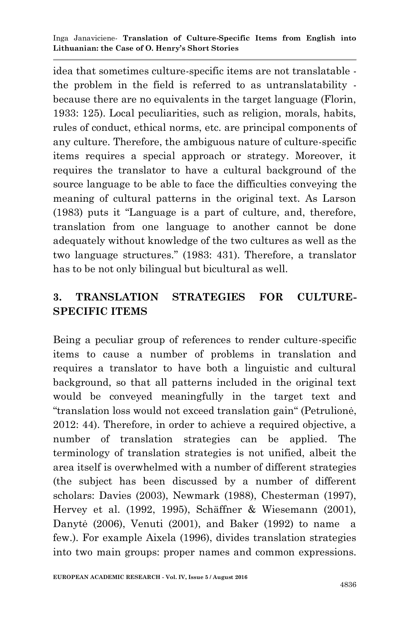idea that sometimes culture-specific items are not translatable the problem in the field is referred to as untranslatability because there are no equivalents in the target language (Florin, 1933: 125). Local peculiarities, such as religion, morals, habits, rules of conduct, ethical norms, etc. are principal components of any culture. Therefore, the ambiguous nature of culture-specific items requires a special approach or strategy. Moreover, it requires the translator to have a cultural background of the source language to be able to face the difficulties conveying the meaning of cultural patterns in the original text. As Larson (1983) puts it "Language is a part of culture, and, therefore, translation from one language to another cannot be done adequately without knowledge of the two cultures as well as the two language structures." (1983: 431). Therefore, a translator has to be not only bilingual but bicultural as well.

## **3. TRANSLATION STRATEGIES FOR CULTURE-SPECIFIC ITEMS**

Being a peculiar group of references to render culture-specific items to cause a number of problems in translation and requires a translator to have both a linguistic and cultural background, so that all patterns included in the original text would be conveyed meaningfully in the target text and "translation loss would not exceed translation gain" (Petrulionė, 2012: 44). Therefore, in order to achieve a required objective, a number of translation strategies can be applied. The terminology of translation strategies is not unified, albeit the area itself is overwhelmed with a number of different strategies (the subject has been discussed by a number of different scholars: Davies (2003), Newmark (1988), Chesterman (1997), Hervey et al. (1992, 1995), Schäffner & Wiesemann (2001), Danytė (2006), Venuti (2001), and Baker (1992) to name a few.). For example Aixela (1996), divides translation strategies into two main groups: proper names and common expressions.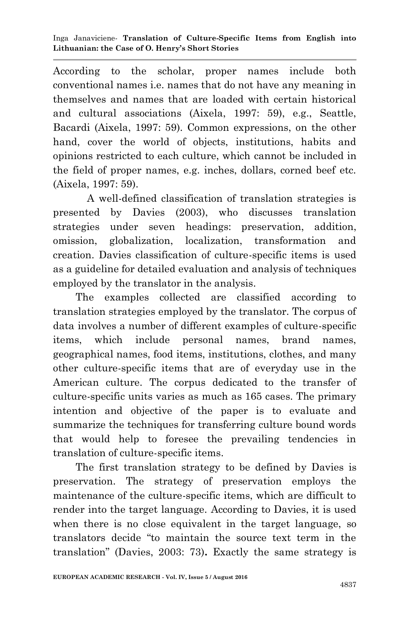According to the scholar, proper names include both conventional names i.e. names that do not have any meaning in themselves and names that are loaded with certain historical and cultural associations (Aixela, 1997: 59), e.g., Seattle, Bacardi (Aixela, 1997: 59). Common expressions, on the other hand, cover the world of objects, institutions, habits and opinions restricted to each culture, which cannot be included in the field of proper names, e.g. inches, dollars, corned beef etc. (Aixela, 1997: 59).

 A well-defined classification of translation strategies is presented by Davies (2003), who discusses translation strategies under seven headings: preservation, addition, omission, globalization, localization, transformation and creation. Davies classification of culture-specific items is used as a guideline for detailed evaluation and analysis of techniques employed by the translator in the analysis.

 The examples collected are classified according to translation strategies employed by the translator. The corpus of data involves a number of different examples of culture-specific items, which include personal names, brand names, geographical names, food items, institutions, clothes, and many other culture-specific items that are of everyday use in the American culture. The corpus dedicated to the transfer of culture-specific units varies as much as 165 cases. The primary intention and objective of the paper is to evaluate and summarize the techniques for transferring culture bound words that would help to foresee the prevailing tendencies in translation of culture-specific items.

 The first translation strategy to be defined by Davies is preservation. The strategy of preservation employs the maintenance of the culture-specific items, which are difficult to render into the target language. According to Davies, it is used when there is no close equivalent in the target language, so translators decide "to maintain the source text term in the translation" (Davies, 2003: 73)**.** Exactly the same strategy is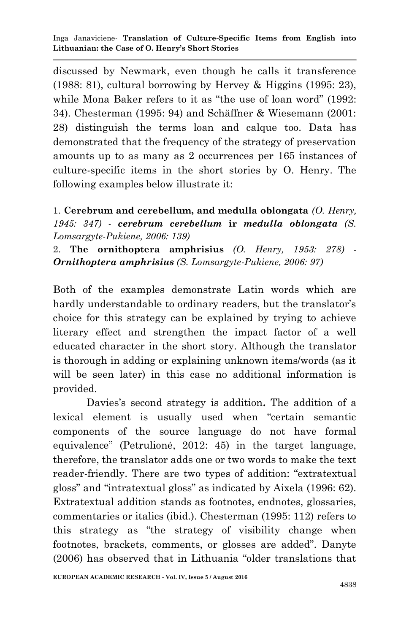discussed by Newmark, even though he calls it transference (1988: 81), cultural borrowing by Hervey & Higgins (1995: 23), while Mona Baker refers to it as "the use of loan word" (1992: 34). Chesterman (1995: 94) and Schäffner & Wiesemann (2001: 28) distinguish the terms loan and calque too. Data has demonstrated that the frequency of the strategy of preservation amounts up to as many as 2 occurrences per 165 instances of culture-specific items in the short stories by O. Henry. The following examples below illustrate it:

1. **Cerebrum and cerebellum, and medulla oblongata** *(O. Henry, 1945: 347)* - *cerebrum cerebellum* **ir** *medulla oblongata (S. Lomsargyte-Pukiene, 2006: 139)*

2. **The ornithoptera amphrisius** *(O. Henry, 1953: 278)* - *Ornithoptera amphrisius (S. Lomsargyte-Pukiene, 2006: 97)*

Both of the examples demonstrate Latin words which are hardly understandable to ordinary readers, but the translator's choice for this strategy can be explained by trying to achieve literary effect and strengthen the impact factor of a well educated character in the short story. Although the translator is thorough in adding or explaining unknown items/words (as it will be seen later) in this case no additional information is provided.

 Davies"s second strategy is addition**.** The addition of a lexical element is usually used when "certain semantic components of the source language do not have formal equivalence" (Petrulionė, 2012: 45) in the target language, therefore, the translator adds one or two words to make the text reader-friendly. There are two types of addition: "extratextual gloss" and "intratextual gloss" as indicated by Aixela (1996: 62). Extratextual addition stands as footnotes, endnotes, glossaries, commentaries or italics (ibid.). Chesterman (1995: 112) refers to this strategy as "the strategy of visibility change when footnotes, brackets, comments, or glosses are added". Danyte (2006) has observed that in Lithuania "older translations that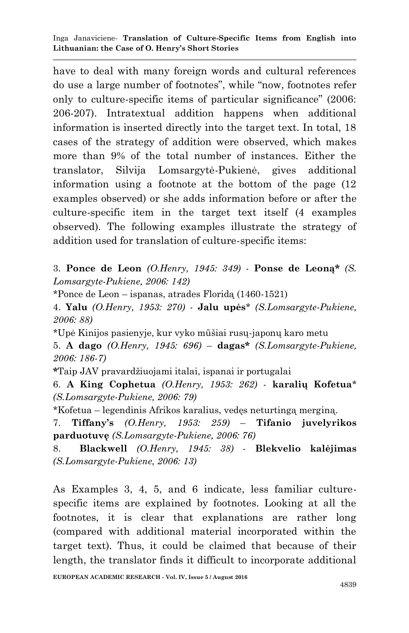have to deal with many foreign words and cultural references do use a large number of footnotes", while "now, footnotes refer only to culture-specific items of particular significance" (2006: 206-207). Intratextual addition happens when additional information is inserted directly into the target text. In total, 18 cases of the strategy of addition were observed, which makes more than 9% of the total number of instances. Either the translator, Silvija Lomsargytė-Pukienė, gives additional information using a footnote at the bottom of the page (12 examples observed) or she adds information before or after the culture-specific item in the target text itself (4 examples observed). The following examples illustrate the strategy of addition used for translation of culture-specific items:

3. **Ponce de Leon** *(O.Henry, 1945: 349)* - **Ponse de Leoną\*** *(S. Lomsargyte-Pukiene, 2006: 142)*

\*Ponce de Leon – ispanas, atrades Floridą (1460-1521)

4. **Yalu** *(O.Henry, 1953: 270) -* **Jalu upės**\* *(S.Lomsargyte-Pukiene, 2006: 88)*

\*Upė Kinijos pasienyje, kur vyko mūšiai rusų-japonų karo metu

5. **A dago** *(O.Henry, 1945: 696)* – **dagas\*** *(S.Lomsargyte-Pukiene, 2006: 186-7)*

**\***Taip JAV pravardžiuojami italai, ispanai ir portugalai

6. **A King Cophetua** *(O.Henry, 1953: 262)* - **karalių Kofetua**\* *(S.Lomsargyte-Pukiene, 2006: 79)*

\*Kofetua – legendinis Afrikos karalius, vedęs neturtingą merginą.

7. **Tiffany's** *(O.Henry, 1953: 259)* – **Tifanio juvelyrikos parduotuvę** *(S.Lomsargyte-Pukiene, 2006: 76)*

8. **Blackwell** *(O.Henry, 1945: 38)* - **Blekvelio kalėjimas**  *(S.Lomsargyte-Pukiene, 2006: 13)*

As Examples 3, 4, 5, and 6 indicate, less familiar culturespecific items are explained by footnotes. Looking at all the footnotes, it is clear that explanations are rather long (compared with additional material incorporated within the target text). Thus, it could be claimed that because of their length, the translator finds it difficult to incorporate additional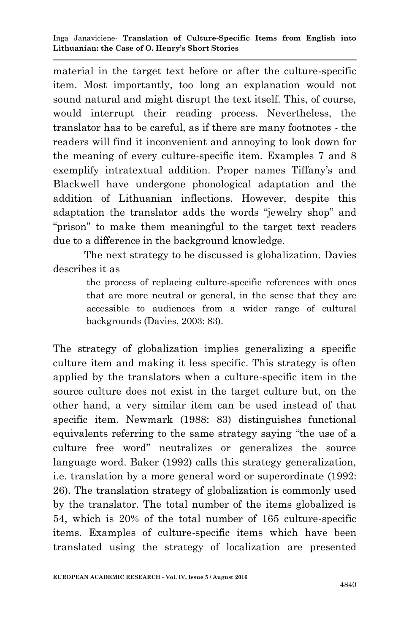material in the target text before or after the culture-specific item. Most importantly, too long an explanation would not sound natural and might disrupt the text itself. This, of course, would interrupt their reading process. Nevertheless, the translator has to be careful, as if there are many footnotes - the readers will find it inconvenient and annoying to look down for the meaning of every culture-specific item. Examples 7 and 8 exemplify intratextual addition. Proper names Tiffany's and Blackwell have undergone phonological adaptation and the addition of Lithuanian inflections. However, despite this adaptation the translator adds the words "jewelry shop" and "prison" to make them meaningful to the target text readers due to a difference in the background knowledge.

 The next strategy to be discussed is globalization. Davies describes it as

> the process of replacing culture-specific references with ones that are more neutral or general, in the sense that they are accessible to audiences from a wider range of cultural backgrounds (Davies, 2003: 83).

The strategy of globalization implies generalizing a specific culture item and making it less specific. This strategy is often applied by the translators when a culture-specific item in the source culture does not exist in the target culture but, on the other hand, a very similar item can be used instead of that specific item. Newmark (1988: 83) distinguishes functional equivalents referring to the same strategy saying "the use of a culture free word" neutralizes or generalizes the source language word. Baker (1992) calls this strategy generalization, i.e. translation by a more general word or superordinate (1992: 26). The translation strategy of globalization is commonly used by the translator. The total number of the items globalized is 54, which is 20% of the total number of 165 culture-specific items. Examples of culture-specific items which have been translated using the strategy of localization are presented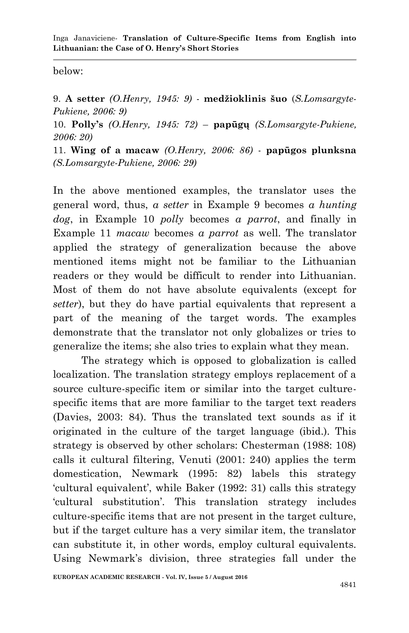below:

9. **A setter** *(O.Henry, 1945: 9)* - **medžioklinis šuo** (*S.Lomsargyte-Pukiene, 2006: 9)*

10. **Polly's** *(O.Henry, 1945: 72)* – **papūgų** *(S.Lomsargyte-Pukiene, 2006: 20)*

11. **Wing of a macaw** *(O.Henry, 2006: 86)* - **papūgos plunksna** *(S.Lomsargyte-Pukiene, 2006: 29)* 

In the above mentioned examples, the translator uses the general word, thus, *a setter* in Example 9 becomes *a hunting dog*, in Example 10 *polly* becomes *a parrot*, and finally in Example 11 *macaw* becomes *a parrot* as well. The translator applied the strategy of generalization because the above mentioned items might not be familiar to the Lithuanian readers or they would be difficult to render into Lithuanian. Most of them do not have absolute equivalents (except for *setter*), but they do have partial equivalents that represent a part of the meaning of the target words. The examples demonstrate that the translator not only globalizes or tries to generalize the items; she also tries to explain what they mean.

 The strategy which is opposed to globalization is called localization. The translation strategy employs replacement of a source culture-specific item or similar into the target culturespecific items that are more familiar to the target text readers (Davies, 2003: 84). Thus the translated text sounds as if it originated in the culture of the target language (ibid.). This strategy is observed by other scholars: Chesterman (1988: 108) calls it cultural filtering, Venuti (2001: 240) applies the term domestication, Newmark (1995: 82) labels this strategy "cultural equivalent", while Baker (1992: 31) calls this strategy "cultural substitution". This translation strategy includes culture-specific items that are not present in the target culture, but if the target culture has a very similar item, the translator can substitute it, in other words, employ cultural equivalents. Using Newmark"s division, three strategies fall under the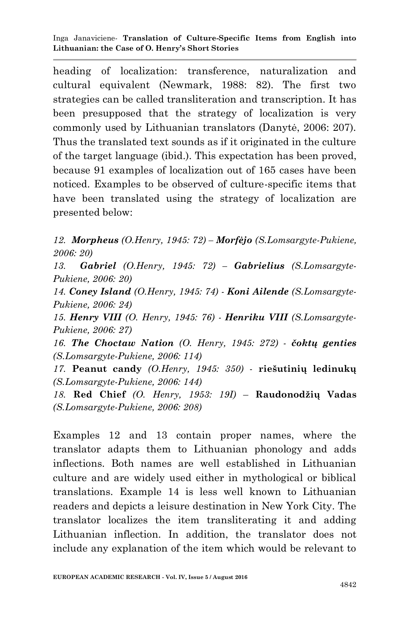heading of localization: transference, naturalization and cultural equivalent (Newmark, 1988: 82). The first two strategies can be called transliteration and transcription. It has been presupposed that the strategy of localization is very commonly used by Lithuanian translators (Danytė, 2006: 207). Thus the translated text sounds as if it originated in the culture of the target language (ibid.). This expectation has been proved, because 91 examples of localization out of 165 cases have been noticed. Examples to be observed of culture-specific items that have been translated using the strategy of localization are presented below:

*12. Morpheus (O.Henry, 1945: 72) – Morfėjo (S.Lomsargyte-Pukiene, 2006: 20)*

*13. Gabriel (O.Henry, 1945: 72) – Gabrielius (S.Lomsargyte-Pukiene, 2006: 20)*

*14. Coney Island (O.Henry, 1945: 74) - Koni Ailende (S.Lomsargyte-Pukiene, 2006: 24)*

*15. Henry VIII (O. Henry, 1945: 76) - Henriku VIII (S.Lomsargyte-Pukiene, 2006: 27)*

*16. The Choctaw Nation (O. Henry, 1945: 272) - čoktų genties (S.Lomsargyte-Pukiene, 2006: 114)*

*17.* **Peanut candy** *(O.Henry, 1945: 350)* - **riešutinių ledinukų** *(S.Lomsargyte-Pukiene, 2006: 144)* 

*18.* **Red Chief** *(O. Henry, 1953: 19I)* – **Raudonodžių Vadas** *(S.Lomsargyte-Pukiene, 2006: 208)* 

Examples 12 and 13 contain proper names, where the translator adapts them to Lithuanian phonology and adds inflections. Both names are well established in Lithuanian culture and are widely used either in mythological or biblical translations. Example 14 is less well known to Lithuanian readers and depicts a leisure destination in New York City. The translator localizes the item transliterating it and adding Lithuanian inflection. In addition, the translator does not include any explanation of the item which would be relevant to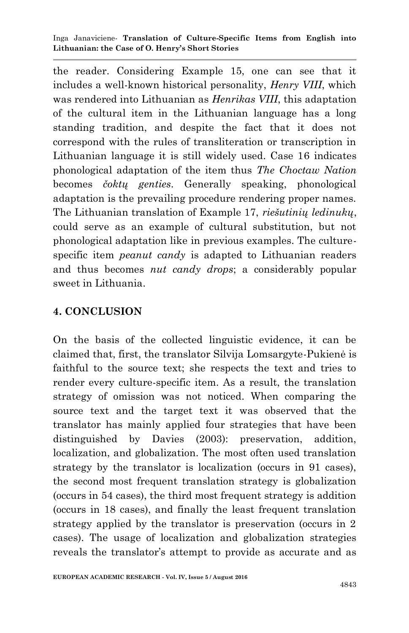the reader. Considering Example 15, one can see that it includes a well-known historical personality, *Henry VIII*, which was rendered into Lithuanian as *Henrikas VIII*, this adaptation of the cultural item in the Lithuanian language has a long standing tradition, and despite the fact that it does not correspond with the rules of transliteration or transcription in Lithuanian language it is still widely used. Case 16 indicates phonological adaptation of the item thus *The Choctaw Nation* becomes *čoktų genties*. Generally speaking, phonological adaptation is the prevailing procedure rendering proper names. The Lithuanian translation of Example 17, *riešutinių ledinukų*, could serve as an example of cultural substitution, but not phonological adaptation like in previous examples. The culturespecific item *peanut candy* is adapted to Lithuanian readers and thus becomes *nut candy drops*; a considerably popular sweet in Lithuania.

#### **4. CONCLUSION**

On the basis of the collected linguistic evidence, it can be claimed that, first, the translator Silvija Lomsargyte-Pukienė is faithful to the source text; she respects the text and tries to render every culture-specific item. As a result, the translation strategy of omission was not noticed. When comparing the source text and the target text it was observed that the translator has mainly applied four strategies that have been distinguished by Davies (2003): preservation, addition, localization, and globalization. The most often used translation strategy by the translator is localization (occurs in 91 cases), the second most frequent translation strategy is globalization (occurs in 54 cases), the third most frequent strategy is addition (occurs in 18 cases), and finally the least frequent translation strategy applied by the translator is preservation (occurs in 2 cases). The usage of localization and globalization strategies reveals the translator's attempt to provide as accurate and as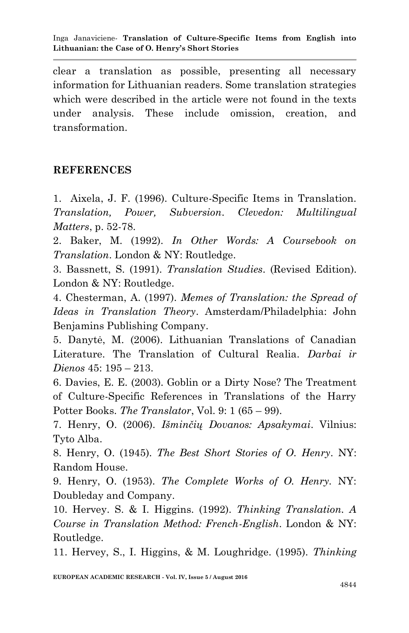clear a translation as possible, presenting all necessary information for Lithuanian readers. Some translation strategies which were described in the article were not found in the texts under analysis. These include omission, creation, and transformation.

### **REFERENCES**

1. Aixela, J. F. (1996). Culture-Specific Items in Translation. *Translation, Power, Subversion. Clevedon: Multilingual Matters*, p. 52-78.

2. Baker, M. (1992). *In Other Words: A Coursebook on Translation*. London & NY: Routledge.

3. Bassnett, S. (1991). *Translation Studies*. (Revised Edition). London & NY: Routledge.

4. Chesterman, A. (1997). *Memes of Translation: the Spread of Ideas in Translation Theory*. Amsterdam/Philadelphia: John Benjamins Publishing Company.

5. Danytė, M. (2006). Lithuanian Translations of Canadian Literature. The Translation of Cultural Realia. *Darbai ir Dienos* 45: 195 – 213.

6. Davies, E. E. (2003). Goblin or a Dirty Nose? The Treatment of Culture-Specific References in Translations of the Harry Potter Books. *The Translator*, Vol. 9: 1 (65 – 99).

7. Henry, O. (2006). *Išminčių Dovanos: Apsakymai*. Vilnius: Tyto Alba.

8. Henry, O. (1945). *The Best Short Stories of O. Henry*. NY: Random House.

9. Henry, O. (1953). *The Complete Works of O. Henry.* NY: Doubleday and Company.

10. Hervey. S. & I. Higgins. (1992). *Thinking Translation. A Course in Translation Method: French-English*. London & NY: Routledge.

11. Hervey, S., I. Higgins, & M. Loughridge. (1995). *Thinking*